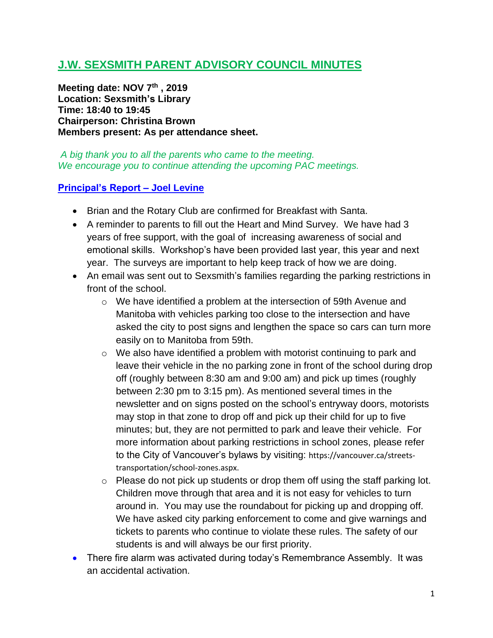# **J.W. SEXSMITH PARENT ADVISORY COUNCIL MINUTES**

**Meeting date: NOV 7th , 2019 Location: Sexsmith's Library Time: 18:40 to 19:45 Chairperson: Christina Brown Members present: As per attendance sheet.**

*A big thank you to all the parents who came to the meeting. We encourage you to continue attending the upcoming PAC meetings.*

#### **Principal's Report – Joel Levine**

- Brian and the Rotary Club are confirmed for Breakfast with Santa.
- A reminder to parents to fill out the Heart and Mind Survey. We have had 3 years of free support, with the goal of increasing awareness of social and emotional skills. Workshop's have been provided last year, this year and next year. The surveys are important to help keep track of how we are doing.
- An email was sent out to Sexsmith's families regarding the parking restrictions in front of the school.
	- o We have identified a problem at the intersection of 59th Avenue and Manitoba with vehicles parking too close to the intersection and have asked the city to post signs and lengthen the space so cars can turn more easily on to Manitoba from 59th.
	- o We also have identified a problem with motorist continuing to park and leave their vehicle in the no parking zone in front of the school during drop off (roughly between 8:30 am and 9:00 am) and pick up times (roughly between 2:30 pm to 3:15 pm). As mentioned several times in the newsletter and on signs posted on the school's entryway doors, motorists may stop in that zone to drop off and pick up their child for up to five minutes; but, they are not permitted to park and leave their vehicle. For more information about parking restrictions in school zones, please refer to the City of Vancouver's bylaws by visiting: [https://vancouver.ca/streets](https://vancouver.ca/streets-transportation/school-zones.aspx)[transportation/school-zones.aspx.](https://vancouver.ca/streets-transportation/school-zones.aspx)
	- $\circ$  Please do not pick up students or drop them off using the staff parking lot. Children move through that area and it is not easy for vehicles to turn around in. You may use the roundabout for picking up and dropping off. We have asked city parking enforcement to come and give warnings and tickets to parents who continue to violate these rules. The safety of our students is and will always be our first priority.
- There fire alarm was activated during today's Remembrance Assembly. It was an accidental activation.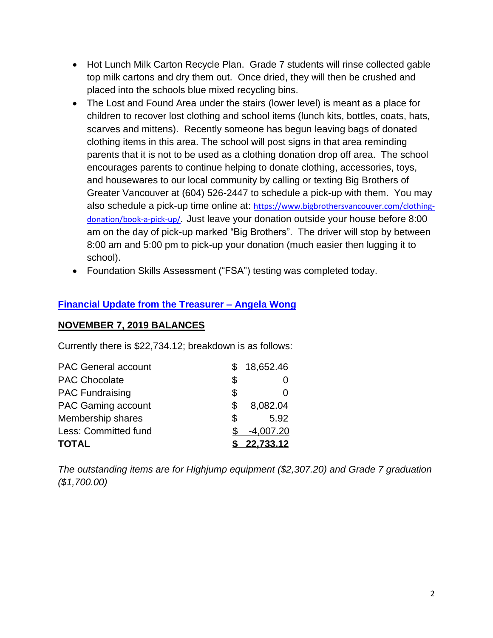- Hot Lunch Milk Carton Recycle Plan. Grade 7 students will rinse collected gable top milk cartons and dry them out. Once dried, they will then be crushed and placed into the schools blue mixed recycling bins.
- The Lost and Found Area under the stairs (lower level) is meant as a place for children to recover lost clothing and school items (lunch kits, bottles, coats, hats, scarves and mittens). Recently someone has begun leaving bags of donated clothing items in this area. The school will post signs in that area reminding parents that it is not to be used as a clothing donation drop off area. The school encourages parents to continue helping to donate clothing, accessories, toys, and housewares to our local community by calling or texting Big Brothers of Greater Vancouver at (604) 526-2447 to schedule a pick-up with them. You may also schedule a pick-up time online at: [https://www.bigbrothersvancouver.com/clothing](https://www.bigbrothersvancouver.com/clothing-donation/book-a-pick-up/)[donation/book-a-pick-up/.](https://www.bigbrothersvancouver.com/clothing-donation/book-a-pick-up/) Just leave your donation outside your house before 8:00 am on the day of pick-up marked "Big Brothers". The driver will stop by between 8:00 am and 5:00 pm to pick-up your donation (much easier then lugging it to school).
- Foundation Skills Assessment ("FSA") testing was completed today.

## **Financial Update from the Treasurer – Angela Wong**

### **NOVEMBER 7, 2019 BALANCES**

Currently there is \$22,734.12; breakdown is as follows:

| <b>TOTAL</b>               |    | 22,733.12   |
|----------------------------|----|-------------|
| Less: Committed fund       |    | $-4,007.20$ |
| Membership shares          | \$ | 5.92        |
| <b>PAC Gaming account</b>  | S  | 8,082.04    |
| <b>PAC Fundraising</b>     | \$ |             |
| <b>PAC Chocolate</b>       | \$ |             |
| <b>PAC General account</b> |    | 18,652.46   |

*The outstanding items are for Highjump equipment (\$2,307.20) and Grade 7 graduation (\$1,700.00)*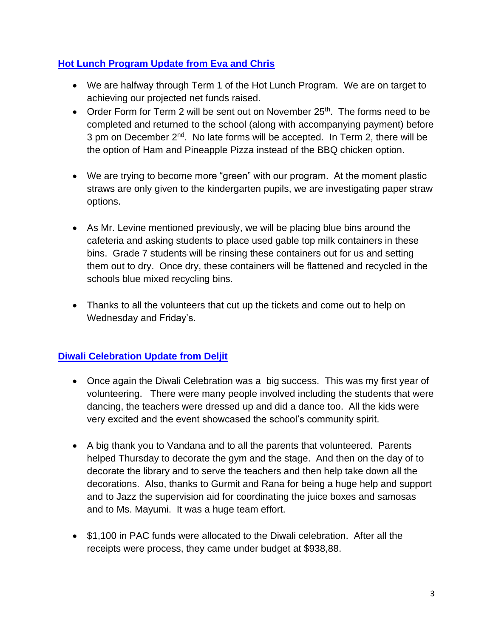## **Hot Lunch Program Update from Eva and Chris**

- We are halfway through Term 1 of the Hot Lunch Program. We are on target to achieving our projected net funds raised.
- Order Form for Term 2 will be sent out on November  $25<sup>th</sup>$ . The forms need to be completed and returned to the school (along with accompanying payment) before 3 pm on December  $2^{nd}$ . No late forms will be accepted. In Term 2, there will be the option of Ham and Pineapple Pizza instead of the BBQ chicken option.
- We are trying to become more "green" with our program. At the moment plastic straws are only given to the kindergarten pupils, we are investigating paper straw options.
- As Mr. Levine mentioned previously, we will be placing blue bins around the cafeteria and asking students to place used gable top milk containers in these bins. Grade 7 students will be rinsing these containers out for us and setting them out to dry. Once dry, these containers will be flattened and recycled in the schools blue mixed recycling bins.
- Thanks to all the volunteers that cut up the tickets and come out to help on Wednesday and Friday's.

# **Diwali Celebration Update from Deljit**

- Once again the Diwali Celebration was a big success. This was my first year of volunteering. There were many people involved including the students that were dancing, the teachers were dressed up and did a dance too. All the kids were very excited and the event showcased the school's community spirit.
- A big thank you to Vandana and to all the parents that volunteered. Parents helped Thursday to decorate the gym and the stage. And then on the day of to decorate the library and to serve the teachers and then help take down all the decorations. Also, thanks to Gurmit and Rana for being a huge help and support and to Jazz the supervision aid for coordinating the juice boxes and samosas and to Ms. Mayumi. It was a huge team effort.
- \$1,100 in PAC funds were allocated to the Diwali celebration. After all the receipts were process, they came under budget at \$938,88.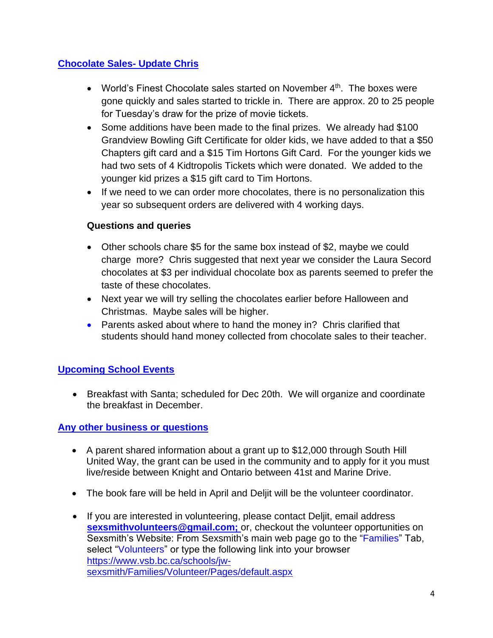# **Chocolate Sales- Update Chris**

- World's Finest Chocolate sales started on November 4<sup>th</sup>. The boxes were gone quickly and sales started to trickle in. There are approx. 20 to 25 people for Tuesday's draw for the prize of movie tickets.
- Some additions have been made to the final prizes. We already had \$100 Grandview Bowling Gift Certificate for older kids, we have added to that a \$50 Chapters gift card and a \$15 Tim Hortons Gift Card. For the younger kids we had two sets of 4 Kidtropolis Tickets which were donated. We added to the younger kid prizes a \$15 gift card to Tim Hortons.
- If we need to we can order more chocolates, there is no personalization this year so subsequent orders are delivered with 4 working days.

### **Questions and queries**

- Other schools chare \$5 for the same box instead of \$2, maybe we could charge more? Chris suggested that next year we consider the Laura Secord chocolates at \$3 per individual chocolate box as parents seemed to prefer the taste of these chocolates.
- Next year we will try selling the chocolates earlier before Halloween and Christmas. Maybe sales will be higher.
- Parents asked about where to hand the money in? Chris clarified that students should hand money collected from chocolate sales to their teacher.

# **Upcoming School Events**

• Breakfast with Santa; scheduled for Dec 20th. We will organize and coordinate the breakfast in December.

### **Any other business or questions**

- A parent shared information about a grant up to \$12,000 through South Hill United Way, the grant can be used in the community and to apply for it you must live/reside between Knight and Ontario between 41st and Marine Drive.
- The book fare will be held in April and Deljit will be the volunteer coordinator.
- If you are interested in volunteering, please contact Deljit, email address **[sexsmithvolunteers@gmail.com;](mailto:sexsmithvolunteers@gmail.com)** or, checkout the volunteer opportunities on Sexsmith's Website: From Sexsmith's main web page go to the "Families" Tab, select "Volunteers" or type the following link into your browser [https://www.vsb.bc.ca/schools/jw](https://www.vsb.bc.ca/schools/jw-sexsmith/Families/Volunteer/Pages/default.aspx)[sexsmith/Families/Volunteer/Pages/default.aspx](https://www.vsb.bc.ca/schools/jw-sexsmith/Families/Volunteer/Pages/default.aspx)